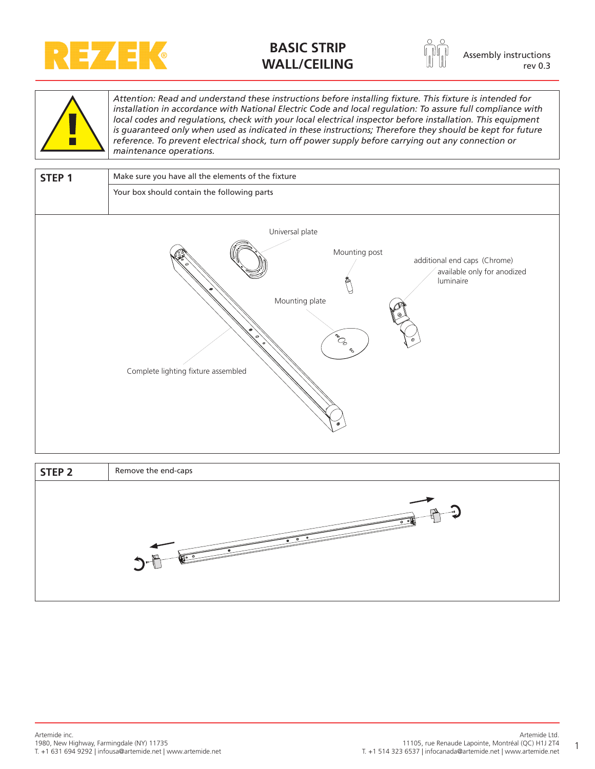

## **BASIC STRIP WALL/CEILING Assembly instructions WALL/CEILING**



rev 0.3



*Attention: Read and understand these instructions before installing fixture. This fixture is intended for installation in accordance with National Electric Code and local regulation: To assure full compliance with local codes and regulations, check with your local electrical inspector before installation. This equipment*  is guaranteed only when used as indicated in these instructions; Therefore they should be kept for future *reference. To prevent electrical shock, turn off power supply before carrying out any connection or maintenance operations.*

| STEP <sub>1</sub> | Make sure you have all the elements of the fixture                                                                                                                                             |  |  |
|-------------------|------------------------------------------------------------------------------------------------------------------------------------------------------------------------------------------------|--|--|
|                   | Your box should contain the following parts                                                                                                                                                    |  |  |
|                   | Universal plate<br>Mounting post<br>additional end caps (Chrome)<br>available only for anodized<br>luminaire<br>Mounting plate<br>Ce <sub>o</sub><br>e.<br>Complete lighting fixture assembled |  |  |

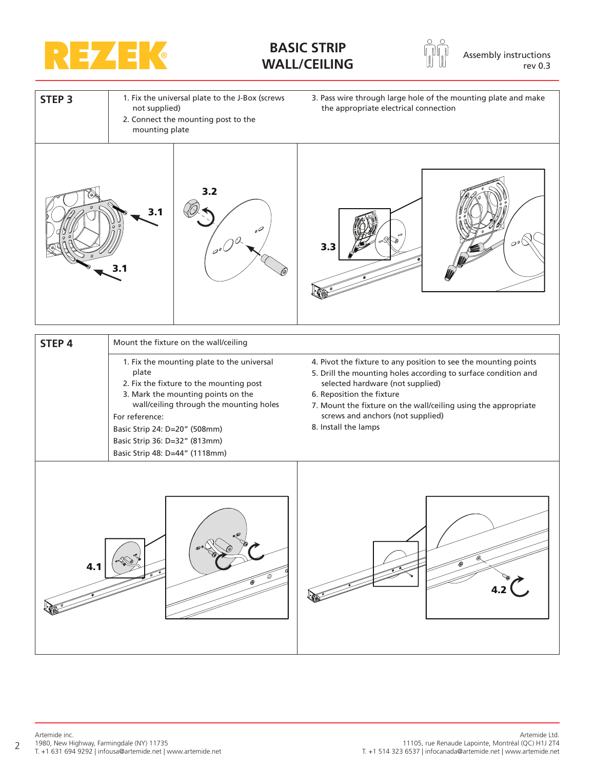

## **BASIC STRIP WALL/CEILING Assembly instructions WALL/CEILING**





| STEP <sub>4</sub> | Mount the fixture on the wall/ceiling                                                                                                                                                                                                                                                                 |                                                                                                                                                                                                                                                                                                                                   |  |
|-------------------|-------------------------------------------------------------------------------------------------------------------------------------------------------------------------------------------------------------------------------------------------------------------------------------------------------|-----------------------------------------------------------------------------------------------------------------------------------------------------------------------------------------------------------------------------------------------------------------------------------------------------------------------------------|--|
|                   | 1. Fix the mounting plate to the universal<br>plate<br>2. Fix the fixture to the mounting post<br>3. Mark the mounting points on the<br>wall/ceiling through the mounting holes<br>For reference:<br>Basic Strip 24: D=20" (508mm)<br>Basic Strip 36: D=32" (813mm)<br>Basic Strip 48: D=44" (1118mm) | 4. Pivot the fixture to any position to see the mounting points<br>5. Drill the mounting holes according to surface condition and<br>selected hardware (not supplied)<br>6. Reposition the fixture<br>7. Mount the fixture on the wall/ceiling using the appropriate<br>screws and anchors (not supplied)<br>8. Install the lamps |  |
|                   |                                                                                                                                                                                                                                                                                                       |                                                                                                                                                                                                                                                                                                                                   |  |